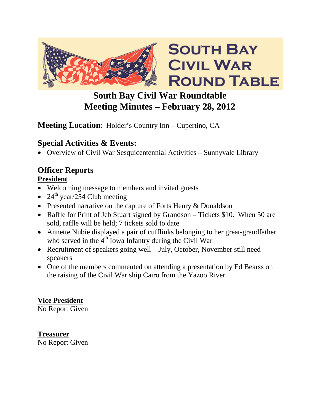

# **South Bay Civil War Roundtable Meeting Minutes – February 28, 2012**

## **Meeting Location**: Holder's Country Inn – Cupertino, CA

## **Special Activities & Events:**

• Overview of Civil War Sesquicentennial Activities – Sunnyvale Library

## **Officer Reports**

### **President**

- Welcoming message to members and invited guests
- 24<sup>th</sup> year/254 Club meeting
- Presented narrative on the capture of Forts Henry & Donaldson
- Raffle for Print of Jeb Stuart signed by Grandson Tickets \$10. When 50 are sold, raffle will be held; 7 tickets sold to date
- Annette Nubie displayed a pair of cufflinks belonging to her great-grandfather who served in the  $4<sup>th</sup>$  Iowa Infantry during the Civil War
- Recruitment of speakers going well July, October, November still need speakers
- One of the members commented on attending a presentation by Ed Bearss on the raising of the Civil War ship Cairo from the Yazoo River

### **Vice President**

No Report Given

# **Treasurer**

No Report Given